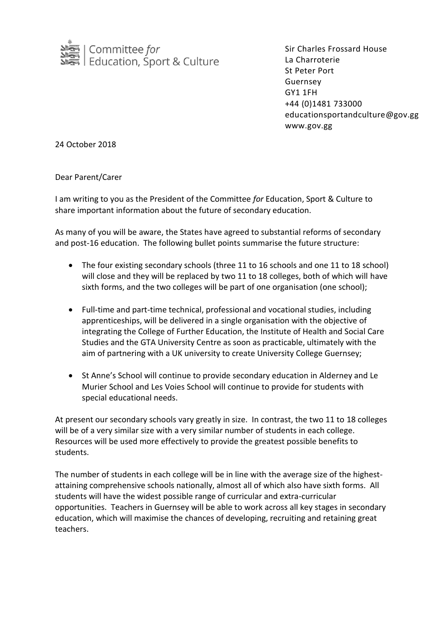

Sir Charles Frossard House La Charroterie St Peter Port Guernsey GY1 1FH +44 (0)1481 733000 educationsportandculture@gov.gg www.gov.gg

24 October 2018

Dear Parent/Carer

I am writing to you as the President of the Committee *for* Education, Sport & Culture to share important information about the future of secondary education.

As many of you will be aware, the States have agreed to substantial reforms of secondary and post-16 education. The following bullet points summarise the future structure:

- The four existing secondary schools (three 11 to 16 schools and one 11 to 18 school) will close and they will be replaced by two 11 to 18 colleges, both of which will have sixth forms, and the two colleges will be part of one organisation (one school);
- Full-time and part-time technical, professional and vocational studies, including apprenticeships, will be delivered in a single organisation with the objective of integrating the College of Further Education, the Institute of Health and Social Care Studies and the GTA University Centre as soon as practicable, ultimately with the aim of partnering with a UK university to create University College Guernsey;
- St Anne's School will continue to provide secondary education in Alderney and Le Murier School and Les Voies School will continue to provide for students with special educational needs.

At present our secondary schools vary greatly in size. In contrast, the two 11 to 18 colleges will be of a very similar size with a very similar number of students in each college. Resources will be used more effectively to provide the greatest possible benefits to students.

The number of students in each college will be in line with the average size of the highestattaining comprehensive schools nationally, almost all of which also have sixth forms. All students will have the widest possible range of curricular and extra-curricular opportunities. Teachers in Guernsey will be able to work across all key stages in secondary education, which will maximise the chances of developing, recruiting and retaining great teachers.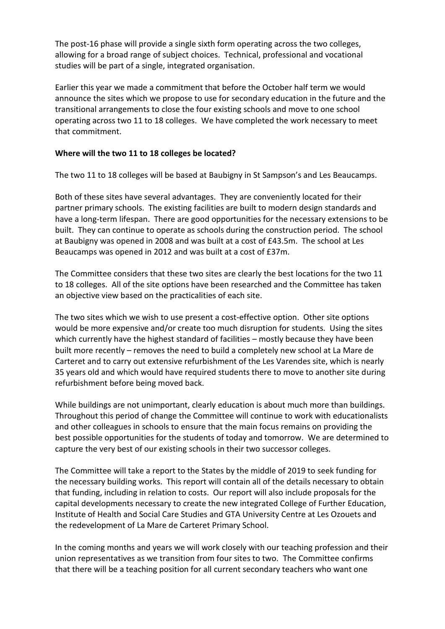The post-16 phase will provide a single sixth form operating across the two colleges, allowing for a broad range of subject choices. Technical, professional and vocational studies will be part of a single, integrated organisation.

Earlier this year we made a commitment that before the October half term we would announce the sites which we propose to use for secondary education in the future and the transitional arrangements to close the four existing schools and move to one school operating across two 11 to 18 colleges. We have completed the work necessary to meet that commitment.

### **Where will the two 11 to 18 colleges be located?**

The two 11 to 18 colleges will be based at Baubigny in St Sampson's and Les Beaucamps.

Both of these sites have several advantages. They are conveniently located for their partner primary schools. The existing facilities are built to modern design standards and have a long-term lifespan. There are good opportunities for the necessary extensions to be built. They can continue to operate as schools during the construction period. The school at Baubigny was opened in 2008 and was built at a cost of £43.5m. The school at Les Beaucamps was opened in 2012 and was built at a cost of £37m.

The Committee considers that these two sites are clearly the best locations for the two 11 to 18 colleges. All of the site options have been researched and the Committee has taken an objective view based on the practicalities of each site.

The two sites which we wish to use present a cost-effective option. Other site options would be more expensive and/or create too much disruption for students. Using the sites which currently have the highest standard of facilities – mostly because they have been built more recently – removes the need to build a completely new school at La Mare de Carteret and to carry out extensive refurbishment of the Les Varendes site, which is nearly 35 years old and which would have required students there to move to another site during refurbishment before being moved back.

While buildings are not unimportant, clearly education is about much more than buildings. Throughout this period of change the Committee will continue to work with educationalists and other colleagues in schools to ensure that the main focus remains on providing the best possible opportunities for the students of today and tomorrow. We are determined to capture the very best of our existing schools in their two successor colleges.

The Committee will take a report to the States by the middle of 2019 to seek funding for the necessary building works. This report will contain all of the details necessary to obtain that funding, including in relation to costs. Our report will also include proposals for the capital developments necessary to create the new integrated College of Further Education, Institute of Health and Social Care Studies and GTA University Centre at Les Ozouets and the redevelopment of La Mare de Carteret Primary School.

In the coming months and years we will work closely with our teaching profession and their union representatives as we transition from four sites to two. The Committee confirms that there will be a teaching position for all current secondary teachers who want one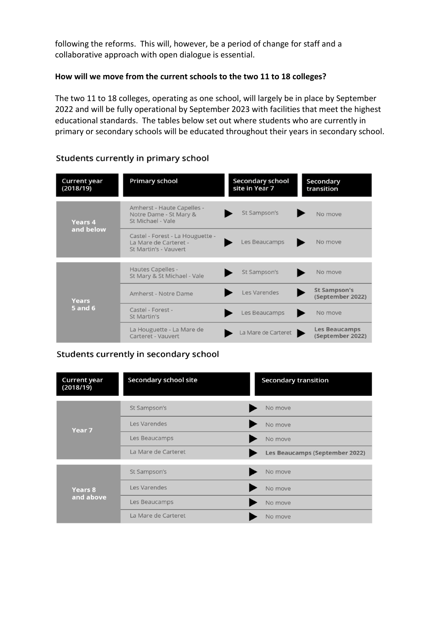following the reforms. This will, however, be a period of change for staff and a collaborative approach with open dialogue is essential.

### **How will we move from the current schools to the two 11 to 18 colleges?**

The two 11 to 18 colleges, operating as one school, will largely be in place by September 2022 and will be fully operational by September 2023 with facilities that meet the highest educational standards. The tables below set out where students who are currently in primary or secondary schools will be educated throughout their years in secondary school.

| <b>Current year</b><br>(2018/19) | <b>Primary school</b>                                                              | <b>Secondary school</b><br>site in Year 7 | Secondary<br>transition                  |
|----------------------------------|------------------------------------------------------------------------------------|-------------------------------------------|------------------------------------------|
| <b>Years 4</b><br>and below      | Amherst - Haute Capelles -<br>Notre Dame - St Mary &<br>St Michael - Vale          | St Sampson's                              | No move                                  |
|                                  | Castel - Forest - La Houguette -<br>La Mare de Carteret -<br>St Martin's - Vauvert | Les Beaucamps                             | No move                                  |
| Years<br><b>5 and 6</b>          | Hautes Capelles -<br>St Mary & St Michael - Vale                                   | St Sampson's                              | No move                                  |
|                                  | Amherst - Notre Dame                                                               | Les Varendes                              | <b>St Sampson's</b><br>(September 2022)  |
|                                  | Castel - Forest -<br>St Martin's                                                   | Les Beaucamps                             | No move                                  |
|                                  | La Houguette - La Mare de<br>Carteret - Vauvert                                    | La Mare de Carteret                       | <b>Les Beaucamps</b><br>(September 2022) |

## Students currently in primary school

# Students currently in secondary school

| <b>Current year</b><br>(2018/19) | <b>Secondary school site</b> | <b>Secondary transition</b>    |  |
|----------------------------------|------------------------------|--------------------------------|--|
| Year 7                           | St Sampson's                 | No move                        |  |
|                                  | Les Varendes                 | No move                        |  |
|                                  | Les Beaucamps                | No move                        |  |
|                                  | La Mare de Carteret          | Les Beaucamps (September 2022) |  |
| <b>Years 8</b><br>and above      | St Sampson's                 | No move                        |  |
|                                  | Les Varendes                 | No move                        |  |
|                                  | Les Beaucamps                | No move                        |  |
|                                  | La Mare de Carteret          | No move                        |  |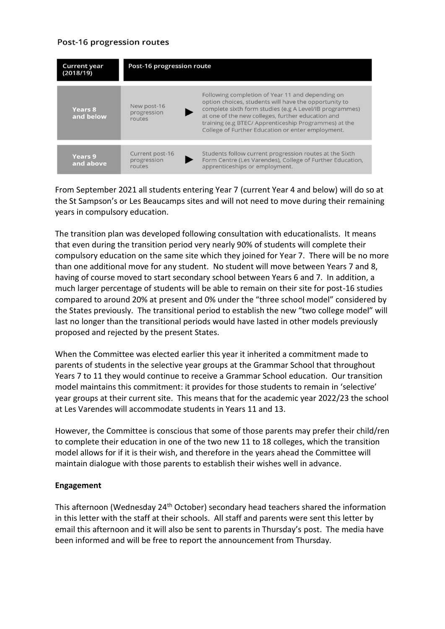### Post-16 progression routes

| <b>Current year</b><br>(2018/19) | Post-16 progression route                |                                                                                                                                                                                                                                                                                                                                         |  |
|----------------------------------|------------------------------------------|-----------------------------------------------------------------------------------------------------------------------------------------------------------------------------------------------------------------------------------------------------------------------------------------------------------------------------------------|--|
| <b>Years 8</b><br>and below      | New post-16<br>progression<br>routes     | Following completion of Year 11 and depending on<br>option choices, students will have the opportunity to<br>complete sixth form studies (e.g A Level/IB programmes)<br>at one of the new colleges, further education and<br>training (e.g BTEC/ Apprenticeship Programmes) at the<br>College of Further Education or enter employment. |  |
| <b>Years 9</b><br>and above      | Current post-16<br>progression<br>routes | Students follow current progression routes at the Sixth<br>Form Centre (Les Varendes), College of Further Education,<br>apprenticeships or employment.                                                                                                                                                                                  |  |

From September 2021 all students entering Year 7 (current Year 4 and below) will do so at the St Sampson's or Les Beaucamps sites and will not need to move during their remaining years in compulsory education.

The transition plan was developed following consultation with educationalists. It means that even during the transition period very nearly 90% of students will complete their compulsory education on the same site which they joined for Year 7. There will be no more than one additional move for any student. No student will move between Years 7 and 8, having of course moved to start secondary school between Years 6 and 7. In addition, a much larger percentage of students will be able to remain on their site for post-16 studies compared to around 20% at present and 0% under the "three school model" considered by the States previously. The transitional period to establish the new "two college model" will last no longer than the transitional periods would have lasted in other models previously proposed and rejected by the present States.

When the Committee was elected earlier this year it inherited a commitment made to parents of students in the selective year groups at the Grammar School that throughout Years 7 to 11 they would continue to receive a Grammar School education. Our transition model maintains this commitment: it provides for those students to remain in 'selective' year groups at their current site. This means that for the academic year 2022/23 the school at Les Varendes will accommodate students in Years 11 and 13.

However, the Committee is conscious that some of those parents may prefer their child/ren to complete their education in one of the two new 11 to 18 colleges, which the transition model allows for if it is their wish, and therefore in the years ahead the Committee will maintain dialogue with those parents to establish their wishes well in advance.

# **Engagement**

This afternoon (Wednesday 24<sup>th</sup> October) secondary head teachers shared the information in this letter with the staff at their schools. All staff and parents were sent this letter by email this afternoon and it will also be sent to parents in Thursday's post. The media have been informed and will be free to report the announcement from Thursday.